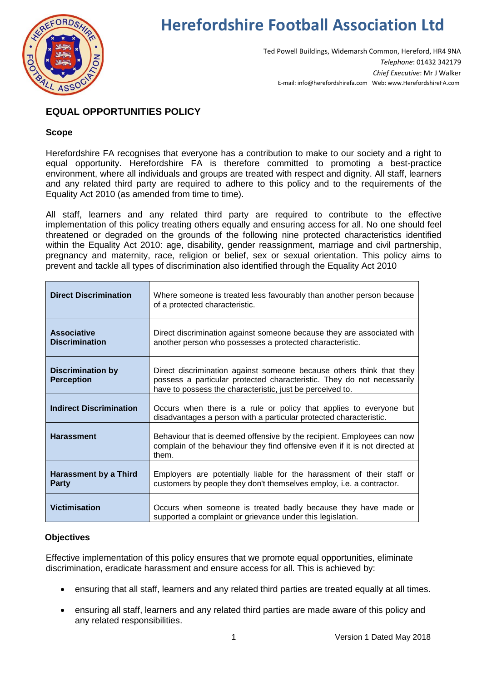

# **Herefordshire Football Association Ltd**

Ted Powell Buildings, Widemarsh Common, Hereford, HR4 9NA *Telephone*: 01432 342179 *Chief Executive*: Mr J Walker E-mail: info@herefordshirefa.com Web: www.HerefordshireFA.com

# **EQUAL OPPORTUNITIES POLICY**

# **Scope**

Herefordshire FA recognises that everyone has a contribution to make to our society and a right to equal opportunity. Herefordshire FA is therefore committed to promoting a best-practice environment, where all individuals and groups are treated with respect and dignity. All staff, learners and any related third party are required to adhere to this policy and to the requirements of the Equality Act 2010 (as amended from time to time).

All staff, learners and any related third party are required to contribute to the effective implementation of this policy treating others equally and ensuring access for all. No one should feel threatened or degraded on the grounds of the following nine protected characteristics identified within the Equality Act 2010: age, disability, gender reassignment, marriage and civil partnership, pregnancy and maternity, race, religion or belief, sex or sexual orientation. This policy aims to prevent and tackle all types of discrimination also identified through the Equality Act 2010

| <b>Direct Discrimination</b>                  | Where someone is treated less favourably than another person because<br>of a protected characteristic.                                                                                                      |  |
|-----------------------------------------------|-------------------------------------------------------------------------------------------------------------------------------------------------------------------------------------------------------------|--|
| <b>Associative</b><br><b>Discrimination</b>   | Direct discrimination against someone because they are associated with<br>another person who possesses a protected characteristic.                                                                          |  |
| <b>Discrimination by</b><br><b>Perception</b> | Direct discrimination against someone because others think that they<br>possess a particular protected characteristic. They do not necessarily<br>have to possess the characteristic, just be perceived to. |  |
| <b>Indirect Discrimination</b>                | Occurs when there is a rule or policy that applies to everyone but<br>disadvantages a person with a particular protected characteristic.                                                                    |  |
| <b>Harassment</b>                             | Behaviour that is deemed offensive by the recipient. Employees can now<br>complain of the behaviour they find offensive even if it is not directed at<br>them.                                              |  |
| <b>Harassment by a Third</b><br><b>Party</b>  | Employers are potentially liable for the harassment of their staff or<br>customers by people they don't themselves employ, i.e. a contractor.                                                               |  |
| <b>Victimisation</b>                          | Occurs when someone is treated badly because they have made or<br>supported a complaint or grievance under this legislation.                                                                                |  |

# **Objectives**

Effective implementation of this policy ensures that we promote equal opportunities, eliminate discrimination, eradicate harassment and ensure access for all. This is achieved by:

- ensuring that all staff, learners and any related third parties are treated equally at all times.
- ensuring all staff, learners and any related third parties are made aware of this policy and any related responsibilities.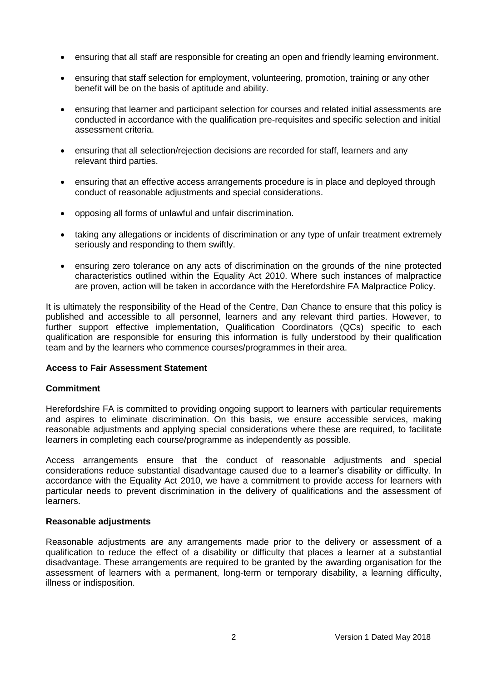- ensuring that all staff are responsible for creating an open and friendly learning environment.
- ensuring that staff selection for employment, volunteering, promotion, training or any other benefit will be on the basis of aptitude and ability.
- ensuring that learner and participant selection for courses and related initial assessments are conducted in accordance with the qualification pre-requisites and specific selection and initial assessment criteria.
- ensuring that all selection/rejection decisions are recorded for staff, learners and any relevant third parties.
- ensuring that an effective access arrangements procedure is in place and deployed through conduct of reasonable adjustments and special considerations.
- opposing all forms of unlawful and unfair discrimination.
- taking any allegations or incidents of discrimination or any type of unfair treatment extremely seriously and responding to them swiftly.
- ensuring zero tolerance on any acts of discrimination on the grounds of the nine protected characteristics outlined within the Equality Act 2010. Where such instances of malpractice are proven, action will be taken in accordance with the Herefordshire FA Malpractice Policy.

It is ultimately the responsibility of the Head of the Centre, Dan Chance to ensure that this policy is published and accessible to all personnel, learners and any relevant third parties. However, to further support effective implementation, Qualification Coordinators (QCs) specific to each qualification are responsible for ensuring this information is fully understood by their qualification team and by the learners who commence courses/programmes in their area.

#### **Access to Fair Assessment Statement**

#### **Commitment**

Herefordshire FA is committed to providing ongoing support to learners with particular requirements and aspires to eliminate discrimination. On this basis, we ensure accessible services, making reasonable adjustments and applying special considerations where these are required, to facilitate learners in completing each course/programme as independently as possible.

Access arrangements ensure that the conduct of reasonable adjustments and special considerations reduce substantial disadvantage caused due to a learner's disability or difficulty. In accordance with the Equality Act 2010, we have a commitment to provide access for learners with particular needs to prevent discrimination in the delivery of qualifications and the assessment of learners.

#### **Reasonable adjustments**

Reasonable adjustments are any arrangements made prior to the delivery or assessment of a qualification to reduce the effect of a disability or difficulty that places a learner at a substantial disadvantage. These arrangements are required to be granted by the awarding organisation for the assessment of learners with a permanent, long-term or temporary disability, a learning difficulty, illness or indisposition.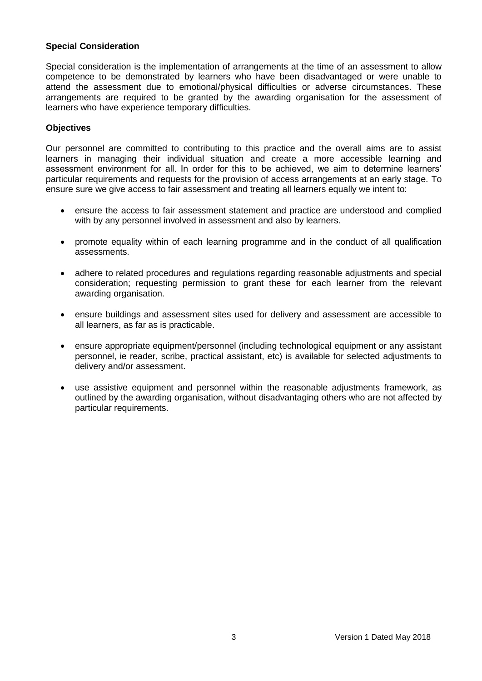#### **Special Consideration**

Special consideration is the implementation of arrangements at the time of an assessment to allow competence to be demonstrated by learners who have been disadvantaged or were unable to attend the assessment due to emotional/physical difficulties or adverse circumstances. These arrangements are required to be granted by the awarding organisation for the assessment of learners who have experience temporary difficulties.

#### **Objectives**

Our personnel are committed to contributing to this practice and the overall aims are to assist learners in managing their individual situation and create a more accessible learning and assessment environment for all. In order for this to be achieved, we aim to determine learners' particular requirements and requests for the provision of access arrangements at an early stage. To ensure sure we give access to fair assessment and treating all learners equally we intent to:

- ensure the access to fair assessment statement and practice are understood and complied with by any personnel involved in assessment and also by learners.
- promote equality within of each learning programme and in the conduct of all qualification assessments.
- adhere to related procedures and regulations regarding reasonable adjustments and special consideration; requesting permission to grant these for each learner from the relevant awarding organisation.
- ensure buildings and assessment sites used for delivery and assessment are accessible to all learners, as far as is practicable.
- ensure appropriate equipment/personnel (including technological equipment or any assistant personnel, ie reader, scribe, practical assistant, etc) is available for selected adjustments to delivery and/or assessment.
- use assistive equipment and personnel within the reasonable adjustments framework, as outlined by the awarding organisation, without disadvantaging others who are not affected by particular requirements.